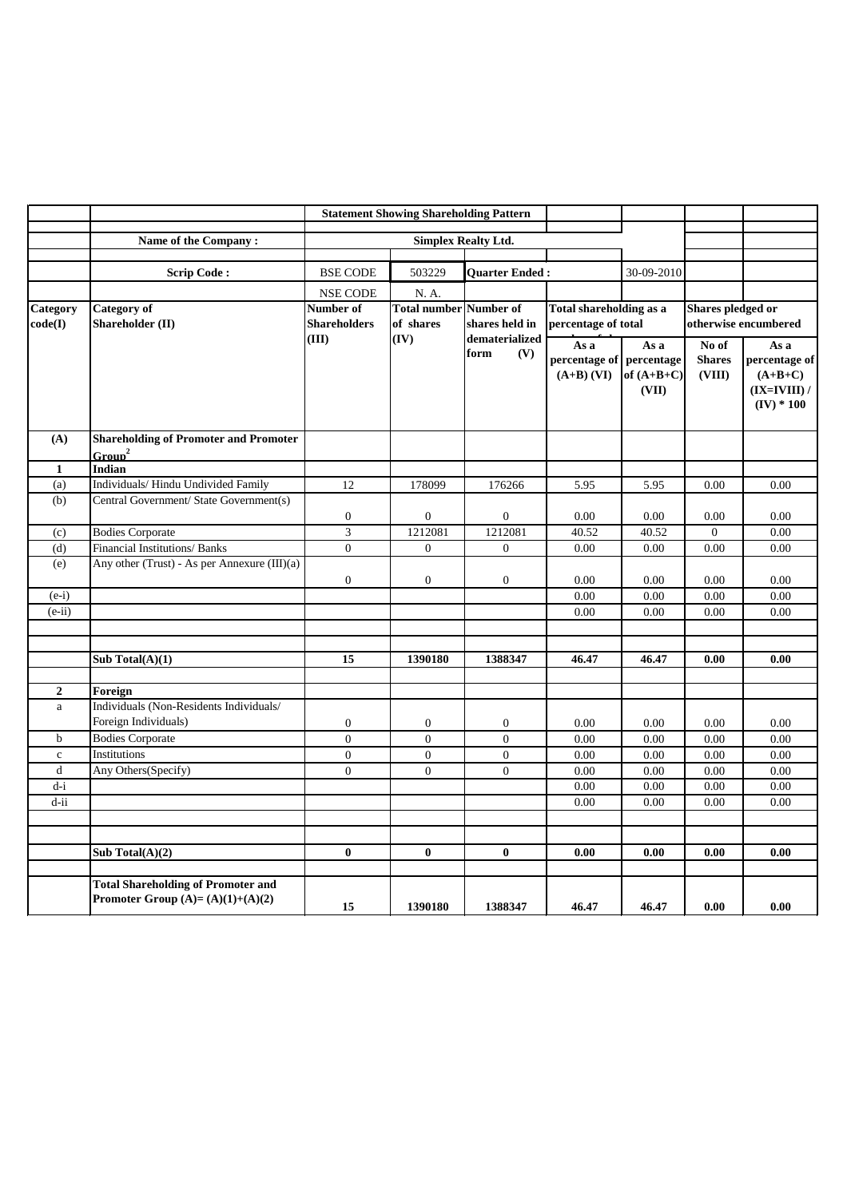|                            |                                                                                 | <b>Statement Showing Shareholding Pattern</b> |                                            |                               |                                                  |                               |                                           |                                                                      |
|----------------------------|---------------------------------------------------------------------------------|-----------------------------------------------|--------------------------------------------|-------------------------------|--------------------------------------------------|-------------------------------|-------------------------------------------|----------------------------------------------------------------------|
|                            | Name of the Company:                                                            |                                               |                                            |                               |                                                  |                               |                                           |                                                                      |
|                            |                                                                                 |                                               |                                            |                               |                                                  |                               |                                           |                                                                      |
|                            | <b>Scrip Code:</b>                                                              | <b>BSE CODE</b>                               | 503229                                     | <b>Quarter Ended:</b>         |                                                  | 30-09-2010                    |                                           |                                                                      |
|                            |                                                                                 | <b>NSE CODE</b>                               | N. A.                                      |                               |                                                  |                               |                                           |                                                                      |
| <b>Category</b><br>code(I) | <b>Category of</b><br><b>Shareholder</b> (II)                                   | Number of<br><b>Shareholders</b>              | <b>Total number Number of</b><br>of shares | shares held in                | Total shareholding as a<br>percentage of total   |                               | Shares pledged or<br>otherwise encumbered |                                                                      |
|                            |                                                                                 | (III)                                         | (IV)                                       | dematerialized<br>(V)<br>form | As a<br>percentage of percentage<br>$(A+B)$ (VI) | As a<br>of $(A+B+C)$<br>(VII) | No of<br><b>Shares</b><br>(VIII)          | As a<br>percentage of<br>$(A+B+C)$<br>$(IX=IVIII)$ /<br>$(IV) * 100$ |
| (A)                        | <b>Shareholding of Promoter and Promoter</b><br>Group <sup>2</sup>              |                                               |                                            |                               |                                                  |                               |                                           |                                                                      |
| $\mathbf{1}$               | Indian                                                                          |                                               |                                            |                               |                                                  |                               |                                           |                                                                      |
| (a)                        | Individuals/Hindu Undivided Family                                              | 12                                            | 178099                                     | 176266                        | 5.95                                             | 5.95                          | 0.00                                      | 0.00                                                                 |
| (b)                        | Central Government/ State Government(s)                                         | $\boldsymbol{0}$                              | $\Omega$                                   | $\overline{0}$                | 0.00                                             | 0.00                          | 0.00                                      | 0.00                                                                 |
| (c)                        | <b>Bodies Corporate</b>                                                         | 3                                             | 1212081                                    | 1212081                       | 40.52                                            | 40.52                         | $\overline{0}$                            | 0.00                                                                 |
| (d)                        | Financial Institutions/ Banks                                                   | $\overline{0}$                                | $\overline{0}$                             | $\overline{0}$                | 0.00                                             | 0.00                          | 0.00                                      | 0.00                                                                 |
| (e)                        | Any other (Trust) - As per Annexure $(III)(a)$                                  | $\boldsymbol{0}$                              | $\overline{0}$                             | $\overline{0}$                | 0.00                                             | 0.00                          | 0.00                                      | 0.00                                                                 |
| $(e-i)$                    |                                                                                 |                                               |                                            |                               | 0.00                                             | 0.00                          | 0.00                                      | 0.00                                                                 |
| $(e-ii)$                   |                                                                                 |                                               |                                            |                               | 0.00                                             | 0.00                          | 0.00                                      | 0.00                                                                 |
|                            |                                                                                 |                                               |                                            |                               |                                                  |                               |                                           |                                                                      |
|                            |                                                                                 |                                               |                                            |                               |                                                  |                               |                                           |                                                                      |
|                            | Sub Total $(A)(1)$                                                              | 15                                            | 1390180                                    | 1388347                       | 46.47                                            | 46.47                         | 0.00                                      | 0.00                                                                 |
| $\overline{2}$             | Foreign                                                                         |                                               |                                            |                               |                                                  |                               |                                           |                                                                      |
| a                          | Individuals (Non-Residents Individuals/                                         |                                               |                                            |                               |                                                  |                               |                                           |                                                                      |
|                            | Foreign Individuals)                                                            | $\overline{0}$                                | $\overline{0}$                             | $\overline{0}$                | 0.00                                             | 0.00                          | 0.00                                      | 0.00                                                                 |
| $\mathbf b$                | <b>Bodies Corporate</b>                                                         | $\overline{0}$                                | $\overline{0}$                             | $\mathbf{0}$                  | 0.00                                             | 0.00                          | 0.00                                      | 0.00                                                                 |
| $\mathbf{C}$               | Institutions                                                                    | $\overline{0}$                                | $\overline{0}$                             | $\overline{0}$                | 0.00                                             | 0.00                          | 0.00                                      | 0.00                                                                 |
| $\mathbf d$                | Any Others(Specify)                                                             | $\overline{0}$                                | $\overline{0}$                             | $\overline{0}$                | 0.00                                             | 0.00                          | 0.00                                      | 0.00                                                                 |
| $d-i$                      |                                                                                 |                                               |                                            |                               | 0.00                                             | 0.00                          | 0.00                                      | 0.00                                                                 |
| $d$ -ii                    |                                                                                 |                                               |                                            |                               | 0.00                                             | 0.00                          | 0.00                                      | 0.00                                                                 |
|                            |                                                                                 |                                               |                                            |                               |                                                  |                               |                                           |                                                                      |
|                            |                                                                                 |                                               |                                            |                               |                                                  |                               |                                           |                                                                      |
|                            | Sub Total $(A)(2)$                                                              | $\bf{0}$                                      | $\bf{0}$                                   | $\bf{0}$                      | 0.00                                             | 0.00                          | 0.00                                      | 0.00                                                                 |
|                            | <b>Total Shareholding of Promoter and</b><br>Promoter Group $(A)=(A)(1)+(A)(2)$ | 15                                            | 1390180                                    | 1388347                       | 46.47                                            | 46.47                         | 0.00                                      | 0.00                                                                 |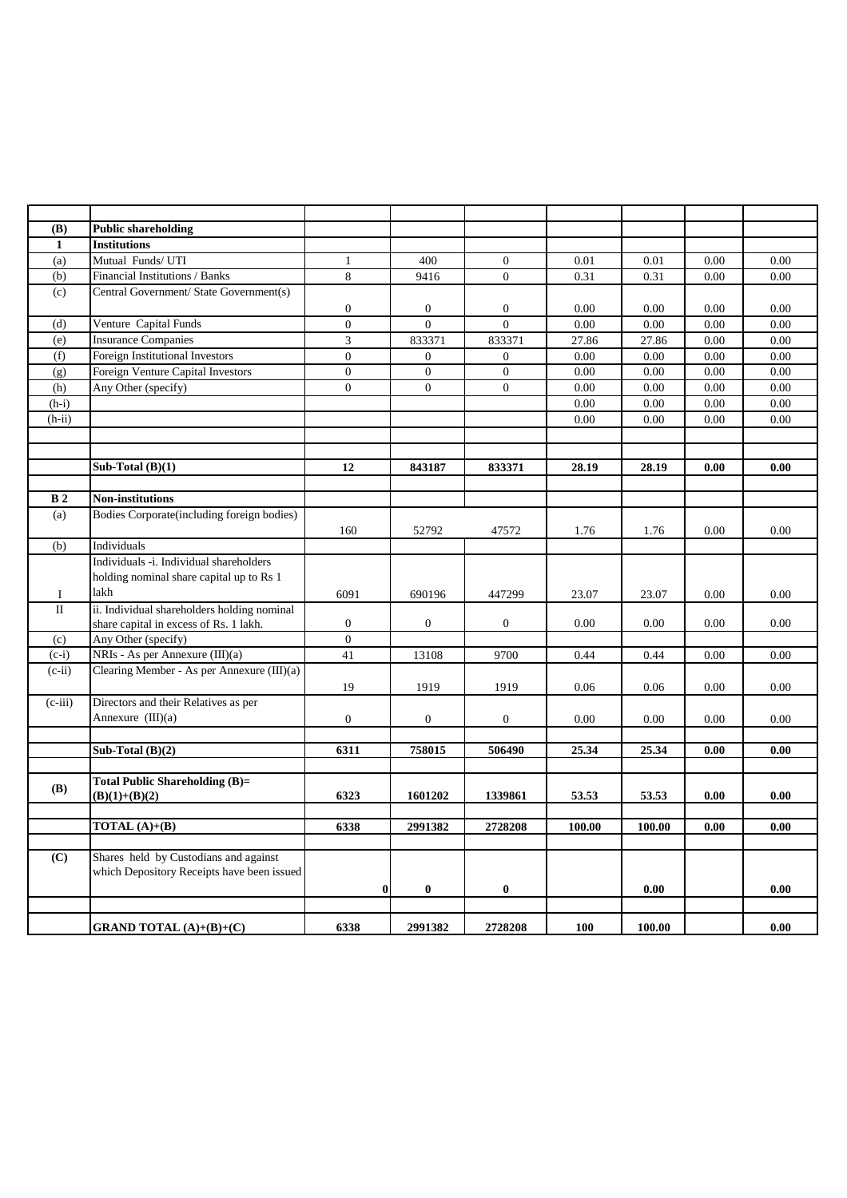| <b>(B)</b>     | <b>Public shareholding</b>                  |                  |                |                  |            |        |      |      |
|----------------|---------------------------------------------|------------------|----------------|------------------|------------|--------|------|------|
| $\mathbf{1}$   | <b>Institutions</b>                         |                  |                |                  |            |        |      |      |
| (a)            | Mutual Funds/ UTI                           | $\mathbf{1}$     | 400            | $\overline{0}$   | 0.01       | 0.01   | 0.00 | 0.00 |
| (b)            | Financial Institutions / Banks              | 8                | 9416           | $\overline{0}$   | 0.31       | 0.31   | 0.00 | 0.00 |
| (c)            | Central Government/ State Government(s)     |                  |                |                  |            |        |      |      |
|                |                                             | $\boldsymbol{0}$ | $\overline{0}$ | $\overline{0}$   | 0.00       | 0.00   | 0.00 | 0.00 |
| (d)            | Venture Capital Funds                       | $\overline{0}$   | $\overline{0}$ | $\overline{0}$   | 0.00       | 0.00   | 0.00 | 0.00 |
| (e)            | <b>Insurance Companies</b>                  | 3                | 833371         | 833371           | 27.86      | 27.86  | 0.00 | 0.00 |
| (f)            | Foreign Institutional Investors             | $\overline{0}$   | $\overline{0}$ | $\overline{0}$   | 0.00       | 0.00   | 0.00 | 0.00 |
| (g)            | Foreign Venture Capital Investors           | $\overline{0}$   | $\overline{0}$ | $\overline{0}$   | 0.00       | 0.00   | 0.00 | 0.00 |
| (h)            | Any Other (specify)                         | $\overline{0}$   | $\overline{0}$ | $\boldsymbol{0}$ | 0.00       | 0.00   | 0.00 | 0.00 |
| $(h-i)$        |                                             |                  |                |                  | 0.00       | 0.00   | 0.00 | 0.00 |
| $(h-ii)$       |                                             |                  |                |                  | 0.00       | 0.00   | 0.00 | 0.00 |
|                |                                             |                  |                |                  |            |        |      |      |
|                |                                             |                  |                |                  |            |        |      |      |
|                | Sub-Total $(B)(1)$                          | 12               | 843187         | 833371           | 28.19      | 28.19  | 0.00 | 0.00 |
|                |                                             |                  |                |                  |            |        |      |      |
| B <sub>2</sub> | <b>Non-institutions</b>                     |                  |                |                  |            |        |      |      |
| (a)            | Bodies Corporate(including foreign bodies)  |                  |                |                  |            |        |      |      |
|                |                                             | 160              | 52792          | 47572            | 1.76       | 1.76   | 0.00 | 0.00 |
| (b)            | Individuals                                 |                  |                |                  |            |        |      |      |
|                | Individuals -i. Individual shareholders     |                  |                |                  |            |        |      |      |
|                | holding nominal share capital up to Rs 1    |                  |                |                  |            |        |      |      |
| $\mathbf I$    | lakh                                        | 6091             | 690196         | 447299           | 23.07      | 23.07  | 0.00 | 0.00 |
| $\rm II$       | ii. Individual shareholders holding nominal |                  |                |                  |            |        |      |      |
|                | share capital in excess of Rs. 1 lakh.      | $\boldsymbol{0}$ | $\overline{0}$ | $\overline{0}$   | 0.00       | 0.00   | 0.00 | 0.00 |
| (c)            | Any Other (specify)                         | $\overline{0}$   |                |                  |            |        |      |      |
| $(c-i)$        | NRIs - As per Annexure (III)(a)             | 41               | 13108          | 9700             | 0.44       | 0.44   | 0.00 | 0.00 |
| $(c-ii)$       | Clearing Member - As per Annexure (III)(a)  |                  |                |                  |            |        |      |      |
|                |                                             | 19               | 1919           | 1919             | 0.06       | 0.06   | 0.00 | 0.00 |
| $(c-iii)$      | Directors and their Relatives as per        |                  |                |                  |            |        |      |      |
|                | Annexure $(III)(a)$                         | $\boldsymbol{0}$ | $\overline{0}$ | $\overline{0}$   | 0.00       | 0.00   | 0.00 | 0.00 |
|                |                                             |                  |                |                  |            |        |      |      |
|                | Sub-Total $(B)(2)$                          | 6311             | 758015         | 506490           | 25.34      | 25.34  | 0.00 | 0.00 |
|                |                                             |                  |                |                  |            |        |      |      |
|                | Total Public Shareholding (B)=              |                  |                |                  |            |        |      |      |
| <b>(B)</b>     | $(B)(1)+(B)(2)$                             | 6323             | 1601202        | 1339861          | 53.53      | 53.53  | 0.00 | 0.00 |
|                |                                             |                  |                |                  |            |        |      |      |
|                | <b>TOTAL</b> $(A)+(B)$                      | 6338             | 2991382        | 2728208          | 100.00     | 100.00 | 0.00 | 0.00 |
|                |                                             |                  |                |                  |            |        |      |      |
| (C)            | Shares held by Custodians and against       |                  |                |                  |            |        |      |      |
|                | which Depository Receipts have been issued  |                  |                |                  |            |        |      |      |
|                |                                             | $\boldsymbol{0}$ | $\bf{0}$       | $\bf{0}$         |            | 0.00   |      | 0.00 |
|                |                                             |                  |                |                  |            |        |      |      |
|                | <b>GRAND TOTAL</b> $(A)+(B)+(C)$            | 6338             | 2991382        | 2728208          | <b>100</b> | 100.00 |      | 0.00 |
|                |                                             |                  |                |                  |            |        |      |      |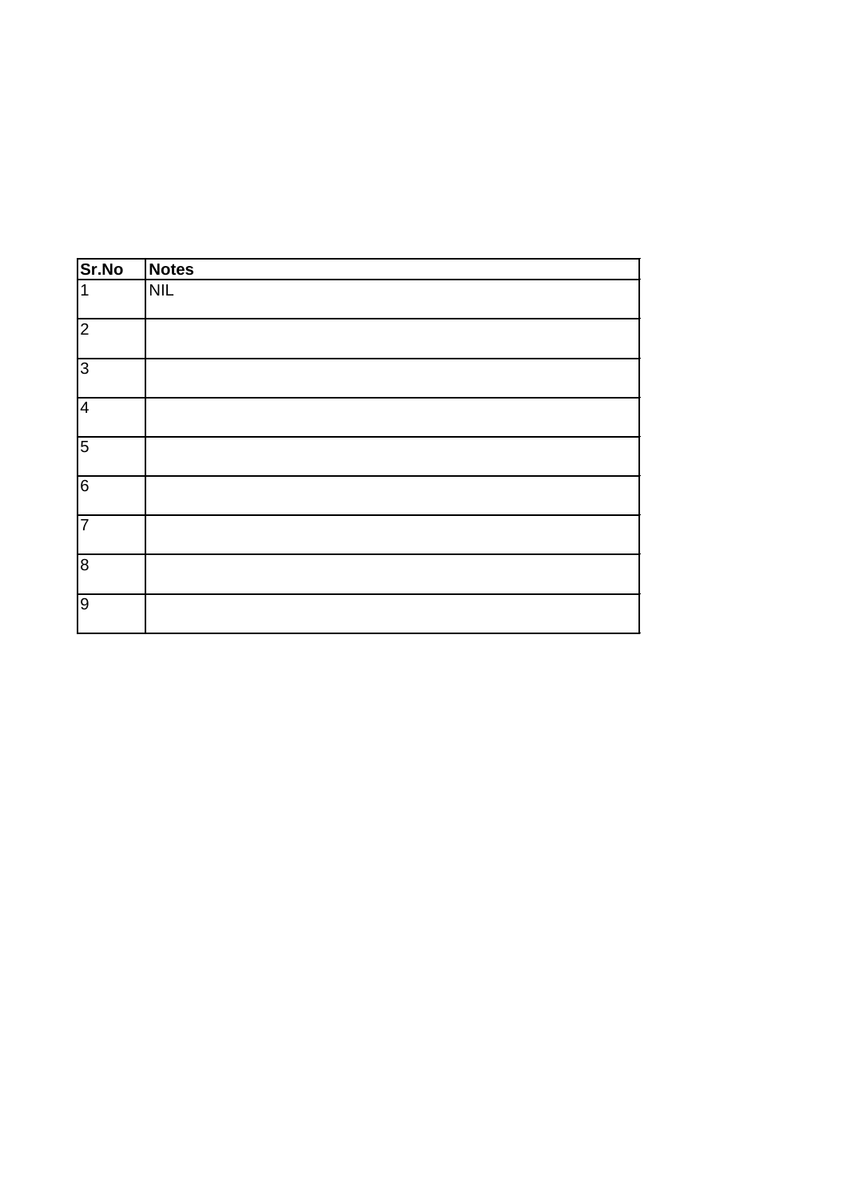| Sr.No           | Notes      |
|-----------------|------------|
| 1               | <b>NIL</b> |
| $\overline{c}$  |            |
| လ               |            |
| $\overline{4}$  |            |
| 5               |            |
| $6 \overline{}$ |            |
| $\overline{7}$  |            |
| $\infty$        |            |
| $\overline{9}$  |            |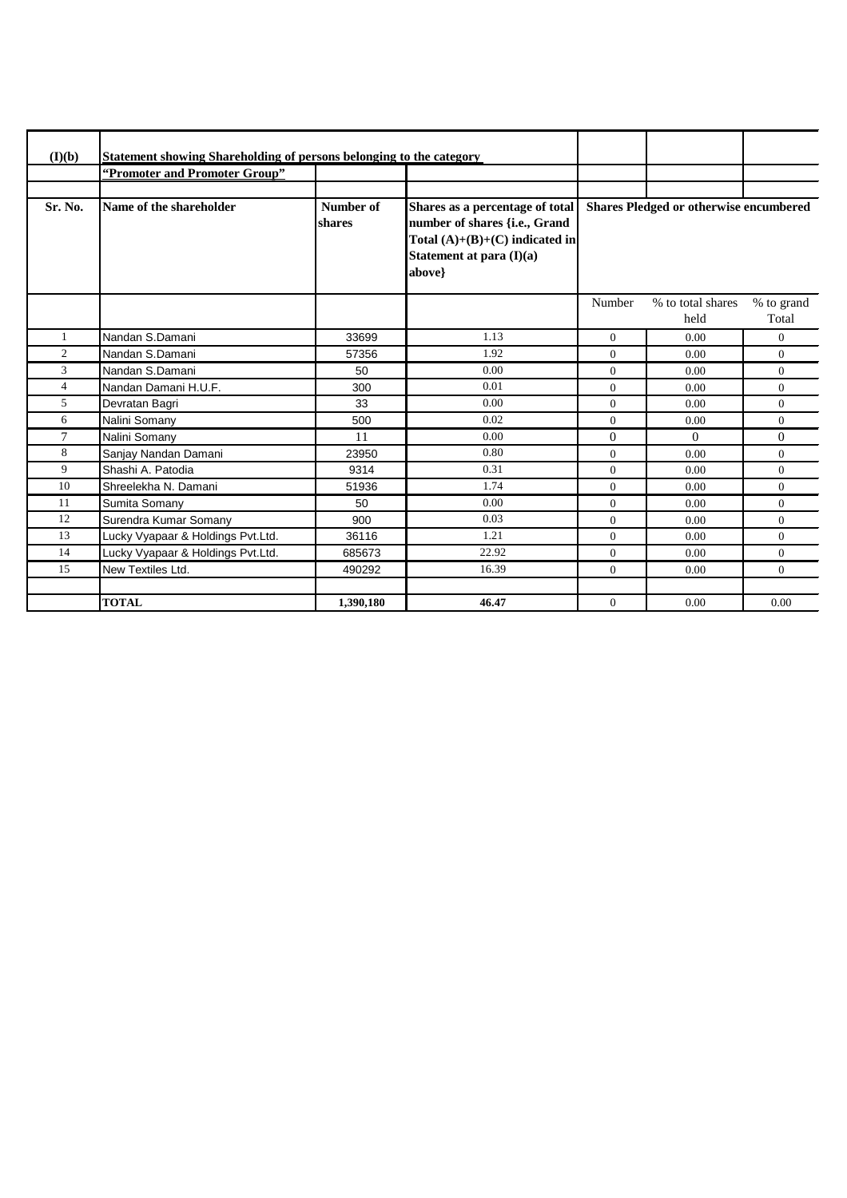| (I)(b)         | <b>Statement showing Shareholding of persons belonging to the category</b> |                     |                                                                                                                                            |                                               |                           |                     |
|----------------|----------------------------------------------------------------------------|---------------------|--------------------------------------------------------------------------------------------------------------------------------------------|-----------------------------------------------|---------------------------|---------------------|
|                | "Promoter and Promoter Group"                                              |                     |                                                                                                                                            |                                               |                           |                     |
|                |                                                                            |                     |                                                                                                                                            |                                               |                           |                     |
| Sr. No.        | Name of the shareholder                                                    | Number of<br>shares | Shares as a percentage of total<br>number of shares {i.e., Grand<br>Total $(A)+(B)+(C)$ indicated in<br>Statement at para (I)(a)<br>above} | <b>Shares Pledged or otherwise encumbered</b> |                           |                     |
|                |                                                                            |                     |                                                                                                                                            | Number                                        | % to total shares<br>held | % to grand<br>Total |
|                | Nandan S.Damani                                                            | 33699               | 1.13                                                                                                                                       | $\overline{0}$                                | 0.00                      | $\overline{0}$      |
| $\overline{c}$ | Nandan S.Damani                                                            | 57356               | 1.92                                                                                                                                       | $\Omega$                                      | 0.00                      | $\overline{0}$      |
| 3              | Nandan S.Damani                                                            | 50                  | 0.00                                                                                                                                       | $\overline{0}$                                | 0.00                      | $\overline{0}$      |
| $\overline{4}$ | Nandan Damani H.U.F.                                                       | 300                 | 0.01                                                                                                                                       | $\overline{0}$                                | 0.00                      | $\overline{0}$      |
| 5              | Devratan Bagri                                                             | 33                  | 0.00                                                                                                                                       | $\Omega$                                      | 0.00                      | $\Omega$            |
| 6              | Nalini Somany                                                              | 500                 | 0.02                                                                                                                                       | $\Omega$                                      | 0.00                      | $\theta$            |
| 7              | Nalini Somany                                                              | 11                  | 0.00                                                                                                                                       | $\Omega$                                      | $\Omega$                  | $\Omega$            |
| 8              | Sanjay Nandan Damani                                                       | 23950               | 0.80                                                                                                                                       | $\Omega$                                      | 0.00                      | $\theta$            |
| 9              | Shashi A. Patodia                                                          | 9314                | 0.31                                                                                                                                       | $\Omega$                                      | 0.00                      | $\theta$            |
| 10             | Shreelekha N. Damani                                                       | 51936               | 1.74                                                                                                                                       | $\Omega$                                      | 0.00                      | $\theta$            |
| 11             | Sumita Somany                                                              | 50                  | 0.00                                                                                                                                       | $\overline{0}$                                | 0.00                      | $\overline{0}$      |
| 12             | Surendra Kumar Somany                                                      | 900                 | 0.03                                                                                                                                       | $\overline{0}$                                | 0.00                      | $\overline{0}$      |
| 13             | Lucky Vyapaar & Holdings Pvt.Ltd.                                          | 36116               | 1.21                                                                                                                                       | $\overline{0}$                                | 0.00                      | $\overline{0}$      |
| 14             | Lucky Vyapaar & Holdings Pvt.Ltd.                                          | 685673              | 22.92                                                                                                                                      | $\Omega$                                      | 0.00                      | $\theta$            |
| 15             | New Textiles Ltd.                                                          | 490292              | 16.39                                                                                                                                      | $\overline{0}$                                | 0.00                      | $\overline{0}$      |
|                |                                                                            |                     |                                                                                                                                            |                                               |                           |                     |
|                | <b>TOTAL</b>                                                               | 1.390.180           | 46.47                                                                                                                                      | $\overline{0}$                                | 0.00                      | 0.00                |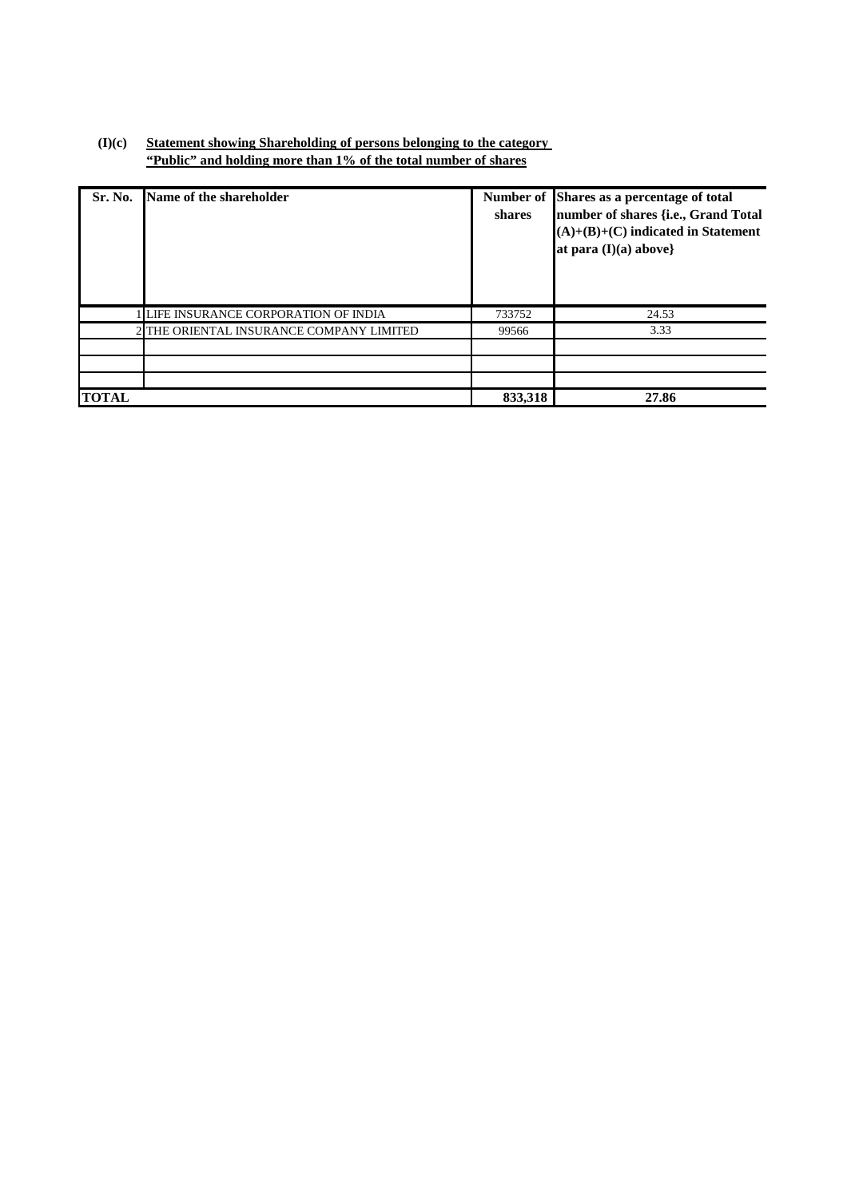## **(I)(c) Statement showing Shareholding of persons belonging to the category "Public" and holding more than 1% of the total number of shares**

| Sr. No.      | Name of the shareholder                | shares  | Number of Shares as a percentage of total<br>number of shares {i.e., Grand Total<br>$(A)+(B)+(C)$ indicated in Statement<br>at para $(I)(a)$ above} |
|--------------|----------------------------------------|---------|-----------------------------------------------------------------------------------------------------------------------------------------------------|
|              | LIFE INSURANCE CORPORATION OF INDIA    | 733752  | 24.53                                                                                                                                               |
|              | THE ORIENTAL INSURANCE COMPANY LIMITED | 99566   | 3.33                                                                                                                                                |
|              |                                        |         |                                                                                                                                                     |
|              |                                        |         |                                                                                                                                                     |
|              |                                        |         |                                                                                                                                                     |
| <b>TOTAL</b> |                                        | 833,318 | 27.86                                                                                                                                               |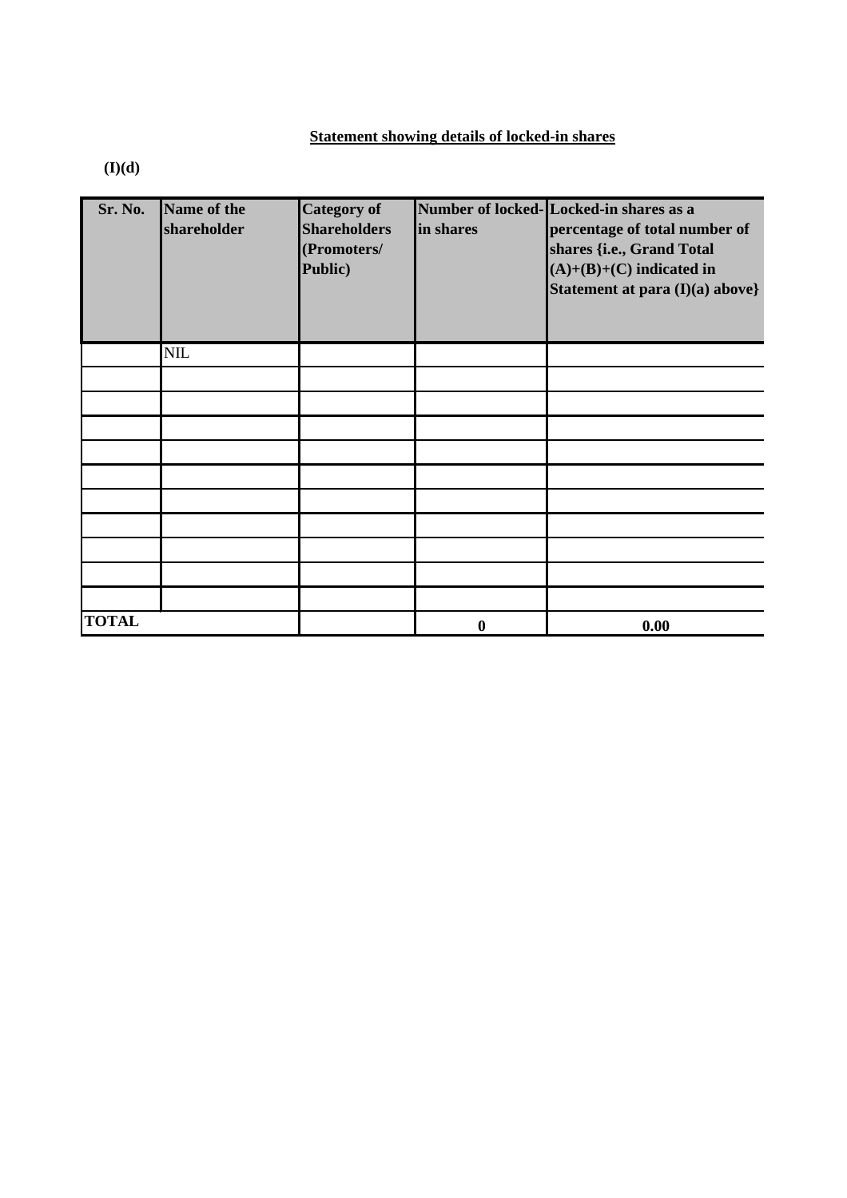# **Statement showing details of locked-in shares**

**(I)(d)**

| Sr. No.      | Name of the<br>shareholder | <b>Category of</b><br><b>Shareholders</b><br>(Promoters/<br>Public) | in shares        | Number of locked-Locked-in shares as a<br>percentage of total number of<br>shares {i.e., Grand Total<br>$(A)+(B)+(C)$ indicated in<br>Statement at para (I)(a) above} |
|--------------|----------------------------|---------------------------------------------------------------------|------------------|-----------------------------------------------------------------------------------------------------------------------------------------------------------------------|
|              | $NIL$                      |                                                                     |                  |                                                                                                                                                                       |
|              |                            |                                                                     |                  |                                                                                                                                                                       |
|              |                            |                                                                     |                  |                                                                                                                                                                       |
|              |                            |                                                                     |                  |                                                                                                                                                                       |
|              |                            |                                                                     |                  |                                                                                                                                                                       |
|              |                            |                                                                     |                  |                                                                                                                                                                       |
|              |                            |                                                                     |                  |                                                                                                                                                                       |
|              |                            |                                                                     |                  |                                                                                                                                                                       |
|              |                            |                                                                     |                  |                                                                                                                                                                       |
|              |                            |                                                                     |                  |                                                                                                                                                                       |
|              |                            |                                                                     |                  |                                                                                                                                                                       |
| <b>TOTAL</b> |                            |                                                                     | $\boldsymbol{0}$ | 0.00                                                                                                                                                                  |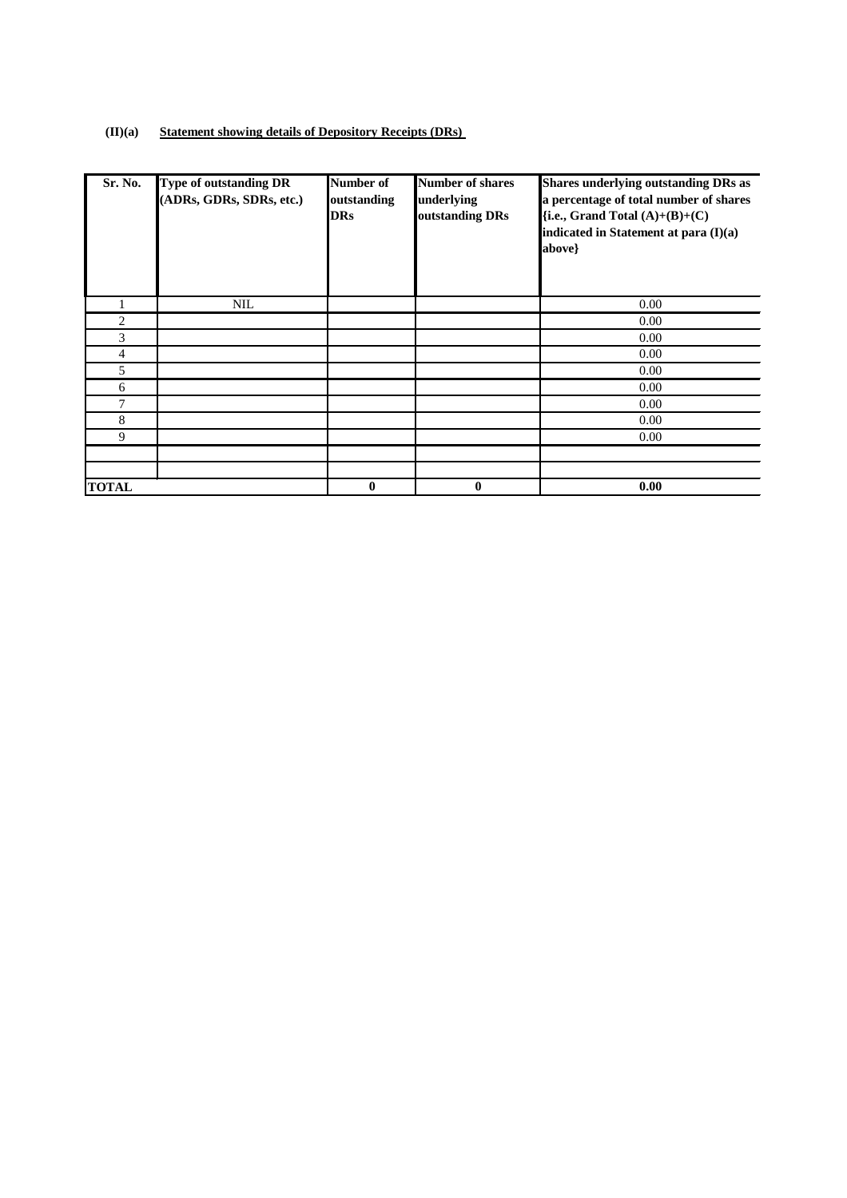### **(II)(a) Statement showing details of Depository Receipts (DRs)**

| Sr. No.        | <b>Type of outstanding DR</b><br>(ADRs, GDRs, SDRs, etc.) | Number of<br>outstanding<br><b>DRs</b> | <b>Number of shares</b><br>underlying<br>outstanding DRs | <b>Shares underlying outstanding DRs as</b><br>a percentage of total number of shares<br>{i.e., Grand Total $(A)+(B)+(C)$<br>indicated in Statement at para (I)(a)<br>above} |
|----------------|-----------------------------------------------------------|----------------------------------------|----------------------------------------------------------|------------------------------------------------------------------------------------------------------------------------------------------------------------------------------|
|                | NIL                                                       |                                        |                                                          | 0.00                                                                                                                                                                         |
| 2              |                                                           |                                        |                                                          | 0.00                                                                                                                                                                         |
| 3              |                                                           |                                        |                                                          | 0.00                                                                                                                                                                         |
| $\overline{4}$ |                                                           |                                        |                                                          | 0.00                                                                                                                                                                         |
| 5              |                                                           |                                        |                                                          | 0.00                                                                                                                                                                         |
| 6              |                                                           |                                        |                                                          | 0.00                                                                                                                                                                         |
| 7              |                                                           |                                        |                                                          | 0.00                                                                                                                                                                         |
| 8              |                                                           |                                        |                                                          | 0.00                                                                                                                                                                         |
| 9              |                                                           |                                        |                                                          | 0.00                                                                                                                                                                         |
|                |                                                           |                                        |                                                          |                                                                                                                                                                              |
| <b>TOTAL</b>   |                                                           | $\bf{0}$                               | $\bf{0}$                                                 | 0.00                                                                                                                                                                         |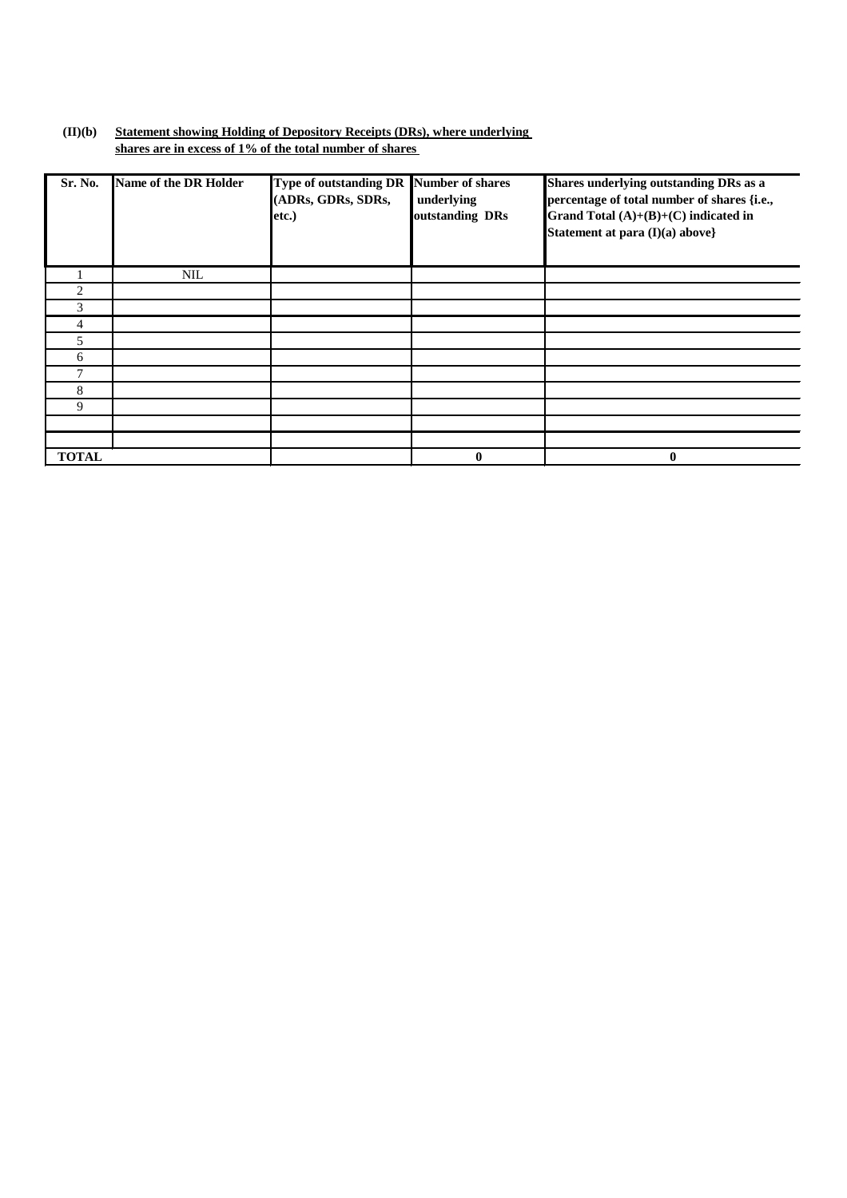#### **(II)(b) Statement showing Holding of Depository Receipts (DRs), where underlying shares are in excess of 1% of the total number of shares**

| Sr. No.        | Name of the DR Holder | Type of outstanding DR Number of shares<br>(ADRs, GDRs, SDRs,<br>etc.) | underlying<br>outstanding DRs | Shares underlying outstanding DRs as a<br>percentage of total number of shares {i.e.,<br>Grand Total $(A)+(B)+(C)$ indicated in<br>Statement at para (I)(a) above} |
|----------------|-----------------------|------------------------------------------------------------------------|-------------------------------|--------------------------------------------------------------------------------------------------------------------------------------------------------------------|
|                | <b>NIL</b>            |                                                                        |                               |                                                                                                                                                                    |
| $\overline{c}$ |                       |                                                                        |                               |                                                                                                                                                                    |
| 3              |                       |                                                                        |                               |                                                                                                                                                                    |
| 4              |                       |                                                                        |                               |                                                                                                                                                                    |
| 5              |                       |                                                                        |                               |                                                                                                                                                                    |
| 6              |                       |                                                                        |                               |                                                                                                                                                                    |
| 7              |                       |                                                                        |                               |                                                                                                                                                                    |
| 8              |                       |                                                                        |                               |                                                                                                                                                                    |
| 9              |                       |                                                                        |                               |                                                                                                                                                                    |
|                |                       |                                                                        |                               |                                                                                                                                                                    |
|                |                       |                                                                        |                               |                                                                                                                                                                    |
| <b>TOTAL</b>   |                       |                                                                        | $\mathbf{0}$                  | 0                                                                                                                                                                  |